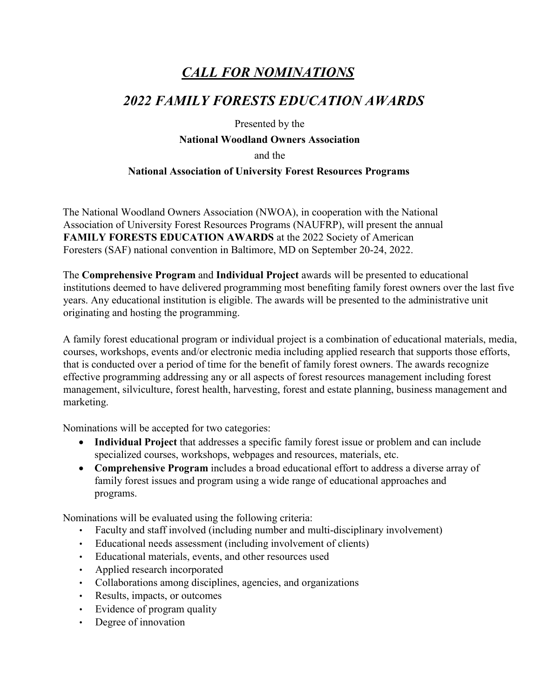# *CALL FOR NOMINATIONS*

## *2022 FAMILY FORESTS EDUCATION AWARDS*

Presented by the

### **National Woodland Owners Association**

and the

### **National Association of University Forest Resources Programs**

The National Woodland Owners Association (NWOA), in cooperation with the National Association of University Forest Resources Programs (NAUFRP), will present the annual **FAMILY FORESTS EDUCATION AWARDS** at the 2022 Society of American Foresters (SAF) national convention in Baltimore, MD on September 20-24, 2022.

The **Comprehensive Program** and **Individual Project** awards will be presented to educational institutions deemed to have delivered programming most benefiting family forest owners over the last five years. Any educational institution is eligible. The awards will be presented to the administrative unit originating and hosting the programming.

A family forest educational program or individual project is a combination of educational materials, media, courses, workshops, events and/or electronic media including applied research that supports those efforts, that is conducted over a period of time for the benefit of family forest owners. The awards recognize effective programming addressing any or all aspects of forest resources management including forest management, silviculture, forest health, harvesting, forest and estate planning, business management and marketing.

Nominations will be accepted for two categories:

- **Individual Project** that addresses a specific family forest issue or problem and can include specialized courses, workshops, webpages and resources, materials, etc.
- **Comprehensive Program** includes a broad educational effort to address a diverse array of family forest issues and program using a wide range of educational approaches and programs.

Nominations will be evaluated using the following criteria:

- Faculty and staff involved (including number and multi-disciplinary involvement)
- Educational needs assessment (including involvement of clients)
- Educational materials, events, and other resources used
- Applied research incorporated
- Collaborations among disciplines, agencies, and organizations
- Results, impacts, or outcomes
- Evidence of program quality
- Degree of innovation